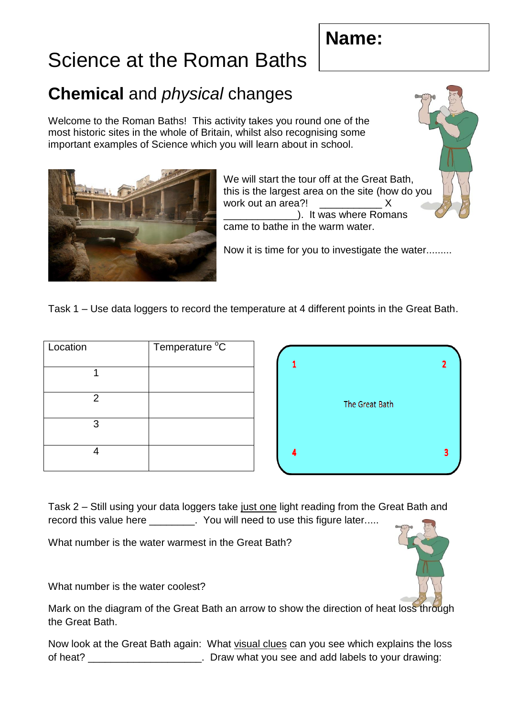## **Name:**

## Science at the Roman Baths

## **Chemical** and *physical* changes

Welcome to the Roman Baths! This activity takes you round one of the most historic sites in the whole of Britain, whilst also recognising some important examples of Science which you will learn about in school.



We will start the tour off at the Great Bath, this is the largest area on the site (how do you work out an area?! \_\_\_\_\_\_\_\_\_\_\_ X **ware Romans** (2008). It was where Romans came to bathe in the warm water.

Now it is time for you to investigate the water.........

Task 1 – Use data loggers to record the temperature at 4 different points in the Great Bath.

| Location       | Temperature <sup>o</sup> C |
|----------------|----------------------------|
|                |                            |
| $\overline{2}$ |                            |
| 3              |                            |
|                |                            |



Task 2 – Still using your data loggers take just one light reading from the Great Bath and record this value here \_\_\_\_\_\_. You will need to use this figure later.....

What number is the water warmest in the Great Bath?

What number is the water coolest?

Mark on the diagram of the Great Bath an arrow to show the direction of heat loss through the Great Bath.

Now look at the Great Bath again: What visual clues can you see which explains the loss of heat? **Example 20** of heat? **Draw what you see and add labels to your drawing:**